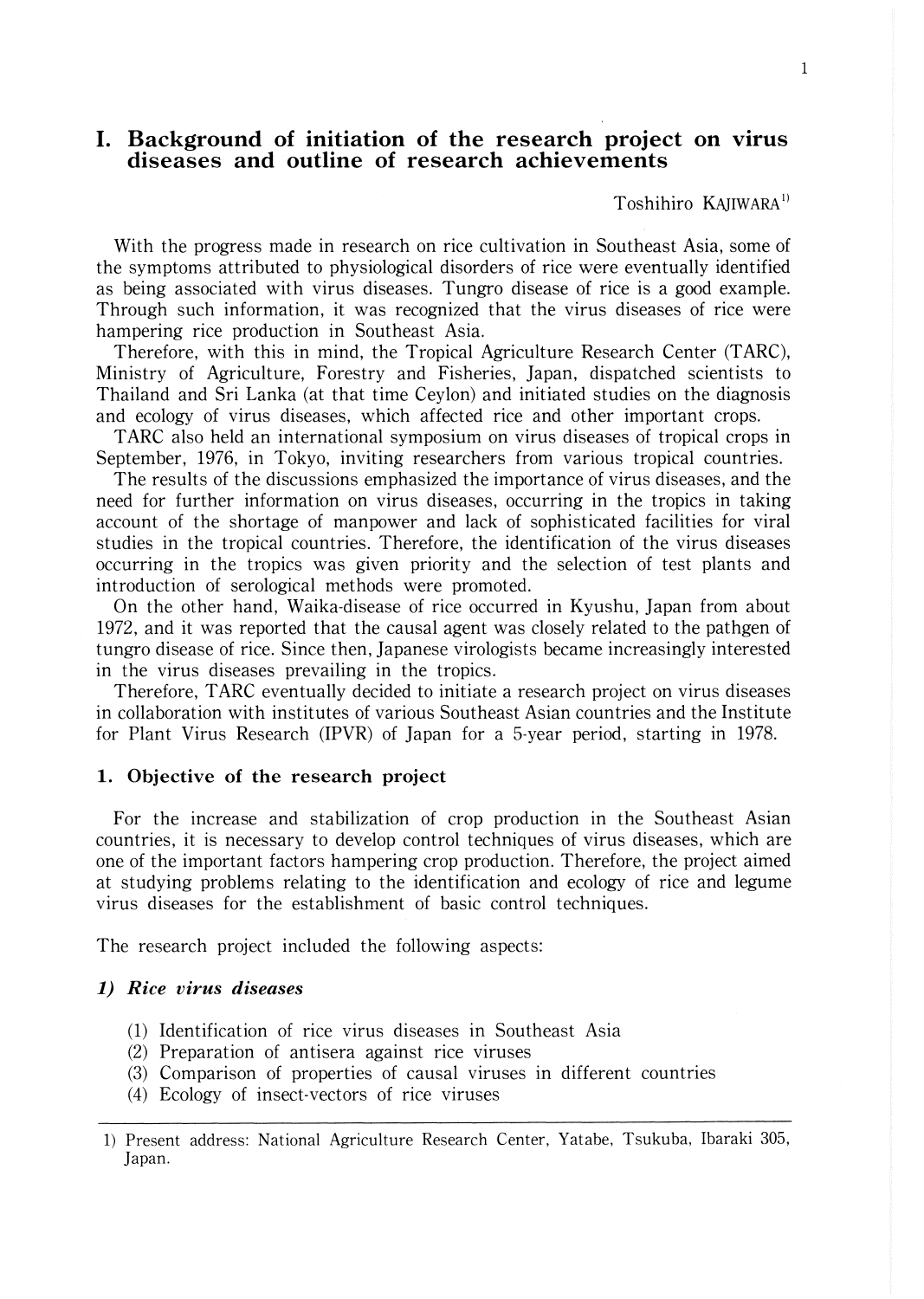# **I. Background of initiation of the research project on virus diseases and outline of research achievements**

Toshihiro KAJIWARA<sup>1)</sup>

With the progress made in research on rice cultivation in Southeast Asia, some of the symptoms attributed to physiological disorders of rice were eventually identified as being associated with virus diseases. Tungro disease of rice is a good example. Through such information, it was recognized that the virus diseases of rice were hampering rice production in Southeast Asia.

Therefore, with this in mind, the Tropical Agriculture Research Center (TARC), Ministry of Agriculture, Forestry and Fisheries, Japan, dispatched scientists to Thailand and Sri Lanka (at that time Ceylon) and initiated studies on the diagnosis and ecology of virus diseases, which affected rice and other important crops.

TARC also held an international symposium on virus diseases of tropical crops in September, 1976, in Tokyo, inviting researchers from various tropical countries.

The results of the discussions emphasized the importance of virus diseases, and the need for further information on virus diseases, occurring in the tropics in taking account of the shortage of manpower and lack of sophisticated facilities for viral studies in the tropical countries. Therefore, the identification of the virus diseases occurring in the tropics was given priority and the selection of test plants and introduction of serological methods were promoted.

On the other hand, Waika-disease of rice occurred in Kyushu, Japan from about 1972, and it was reported that the causal agent was closely related to the pathgen of tungro disease of rice. Since then, Japanese virologists became increasingly interested in the virus diseases prevailing in the tropics.

Therefore, TARC eventually decided to initiate a research project on virus diseases in collaboration with institutes of various Southeast Asian countries and the Institute for Plant Virus Research (IPVR) of Japan for a 5-year period, starting in 1978.

## **1. Objective of the research project**

For the increase and stabilization of crop production in the Southeast Asian countries, it is necessary to develop control techniques of virus diseases, which are one of the important factors hampering crop production. Therefore, the project aimed at studying problems relating to the identification and ecology of rice and legume virus diseases for the establishment of basic control techniques.

The research project included the following aspects:

## *1) Rice virus diseases*

- (1) Identification of rice virus diseases in Southeast Asia
- (2) Preparation of antisera against rice viruses
- (3) Comparison of properties of causal viruses in different countries
- (4) Ecology of insect-vectors of rice viruses

<sup>1)</sup> Present address: National Agriculture Research Center, Yatabe, Tsukuba, Ibaraki 305, Japan.